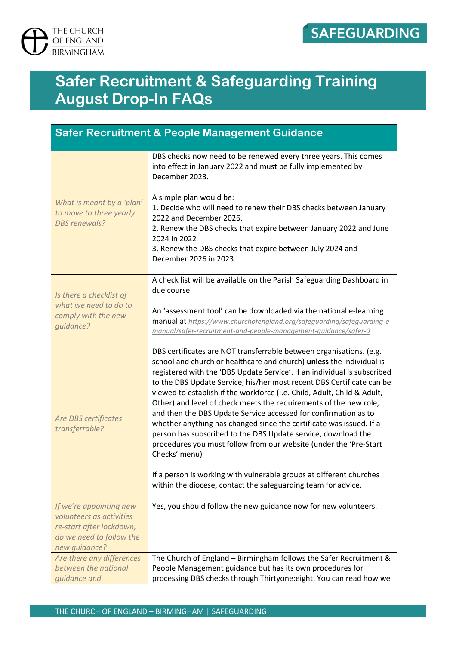

## **Safer Recruitment & Safeguarding Training August Drop-In FAQs**

| <b>Safer Recruitment &amp; People Management Guidance</b>                                                                    |                                                                                                                                                                                                                                                                                                                                                                                                                                                                                                                                                                                                                                                                                                                                                                                                                                                                                           |  |
|------------------------------------------------------------------------------------------------------------------------------|-------------------------------------------------------------------------------------------------------------------------------------------------------------------------------------------------------------------------------------------------------------------------------------------------------------------------------------------------------------------------------------------------------------------------------------------------------------------------------------------------------------------------------------------------------------------------------------------------------------------------------------------------------------------------------------------------------------------------------------------------------------------------------------------------------------------------------------------------------------------------------------------|--|
| What is meant by a 'plan'<br>to move to three yearly<br><b>DBS</b> renewals?                                                 | DBS checks now need to be renewed every three years. This comes<br>into effect in January 2022 and must be fully implemented by<br>December 2023.<br>A simple plan would be:<br>1. Decide who will need to renew their DBS checks between January<br>2022 and December 2026.<br>2. Renew the DBS checks that expire between January 2022 and June<br>2024 in 2022<br>3. Renew the DBS checks that expire between July 2024 and<br>December 2026 in 2023.                                                                                                                                                                                                                                                                                                                                                                                                                                  |  |
| Is there a checklist of<br>what we need to do to<br>comply with the new<br>guidance?                                         | A check list will be available on the Parish Safeguarding Dashboard in<br>due course.<br>An 'assessment tool' can be downloaded via the national e-learning<br>manual at https://www.churchofengland.org/safeguarding/safeguarding-e-<br>manual/safer-recruitment-and-people-management-guidance/safer-0                                                                                                                                                                                                                                                                                                                                                                                                                                                                                                                                                                                  |  |
| <b>Are DBS certificates</b><br>transferrable?                                                                                | DBS certificates are NOT transferrable between organisations. (e.g.<br>school and church or healthcare and church) unless the individual is<br>registered with the 'DBS Update Service'. If an individual is subscribed<br>to the DBS Update Service, his/her most recent DBS Certificate can be<br>viewed to establish if the workforce (i.e. Child, Adult, Child & Adult,<br>Other) and level of check meets the requirements of the new role,<br>and then the DBS Update Service accessed for confirmation as to<br>whether anything has changed since the certificate was issued. If a<br>person has subscribed to the DBS Update service, download the<br>procedures you must follow from our website (under the 'Pre-Start<br>Checks' menu)<br>If a person is working with vulnerable groups at different churches<br>within the diocese, contact the safeguarding team for advice. |  |
| If we're appointing new<br>volunteers as activities<br>re-start after lockdown,<br>do we need to follow the<br>new guidance? | Yes, you should follow the new guidance now for new volunteers.                                                                                                                                                                                                                                                                                                                                                                                                                                                                                                                                                                                                                                                                                                                                                                                                                           |  |
| Are there any differences<br>between the national<br>guidance and                                                            | The Church of England - Birmingham follows the Safer Recruitment &<br>People Management guidance but has its own procedures for<br>processing DBS checks through Thirtyone: eight. You can read how we                                                                                                                                                                                                                                                                                                                                                                                                                                                                                                                                                                                                                                                                                    |  |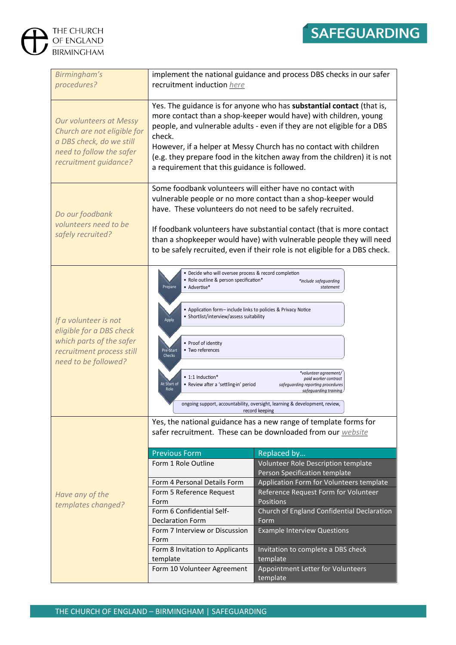

| THE CHURCH<br>OF ENGLAND<br><b>BIRMINGHAM</b>                                                                                                  |                                                                                                                                                                                                                                                                                                                                                                                                        | <b>SAFEGUARD</b>                                                                                                                                                                                                                                                                                                                                                                                                                                                                                                       |
|------------------------------------------------------------------------------------------------------------------------------------------------|--------------------------------------------------------------------------------------------------------------------------------------------------------------------------------------------------------------------------------------------------------------------------------------------------------------------------------------------------------------------------------------------------------|------------------------------------------------------------------------------------------------------------------------------------------------------------------------------------------------------------------------------------------------------------------------------------------------------------------------------------------------------------------------------------------------------------------------------------------------------------------------------------------------------------------------|
| Birmingham's<br>procedures?                                                                                                                    | recruitment induction here                                                                                                                                                                                                                                                                                                                                                                             | implement the national guidance and process DBS checks in our safer                                                                                                                                                                                                                                                                                                                                                                                                                                                    |
| <b>Our volunteers at Messy</b><br>Church are not eligible for<br>a DBS check, do we still<br>need to follow the safer<br>recruitment guidance? | check.<br>a requirement that this guidance is followed.                                                                                                                                                                                                                                                                                                                                                | Yes. The guidance is for anyone who has substantial contact (that is,<br>more contact than a shop-keeper would have) with children, young<br>people, and vulnerable adults - even if they are not eligible for a DBS<br>However, if a helper at Messy Church has no contact with children<br>(e.g. they prepare food in the kitchen away from the children) it is not                                                                                                                                                  |
| Do our foodbank<br>volunteers need to be<br>safely recruited?                                                                                  | Some foodbank volunteers will either have no contact with<br>have. These volunteers do not need to be safely recruited.                                                                                                                                                                                                                                                                                | vulnerable people or no more contact than a shop-keeper would<br>If foodbank volunteers have substantial contact (that is more contact<br>than a shopkeeper would have) with vulnerable people they will need<br>to be safely recruited, even if their role is not eligible for a DBS check.                                                                                                                                                                                                                           |
| If a volunteer is not<br>eligible for a DBS check<br>which parts of the safer<br>recruitment process still<br>need to be followed?             | · Decide who will oversee process & record completion<br>• Role outline & person specification*<br>Prepare<br>• Advertise*<br>• Application form-include links to policies & Privacy Notice<br>• Shortlist/interview/assess suitability<br>Apply<br>• Proof of identity<br>• Two references<br>Pre-Start<br>Checks<br>• 1:1 Induction*<br>At Start of<br>• Review after a 'settling-in' period<br>Role | *include safeguarding<br>statement<br>*volunteer agreement/<br>paid worker contract<br>safeguarding reporting procedures<br>safeguarding training<br>ongoing support, accountability, oversight, learning & development, review,<br>record keeping                                                                                                                                                                                                                                                                     |
| Have any of the<br>templates changed?                                                                                                          | <b>Previous Form</b><br>Form 1 Role Outline<br>Form 4 Personal Details Form<br>Form 5 Reference Request<br>Form<br>Form 6 Confidential Self-<br><b>Declaration Form</b><br>Form 7 Interview or Discussion<br>Form<br>Form 8 Invitation to Applicants<br>template<br>Form 10 Volunteer Agreement                                                                                                        | Yes, the national guidance has a new range of template forms for<br>safer recruitment. These can be downloaded from our website<br>Replaced by<br>Volunteer Role Description template<br>Person Specification template<br>Application Form for Volunteers template<br>Reference Request Form for Volunteer<br>Positions<br>Church of England Confidential Declaration<br>Form<br><b>Example Interview Questions</b><br>Invitation to complete a DBS check<br>template<br>Appointment Letter for Volunteers<br>template |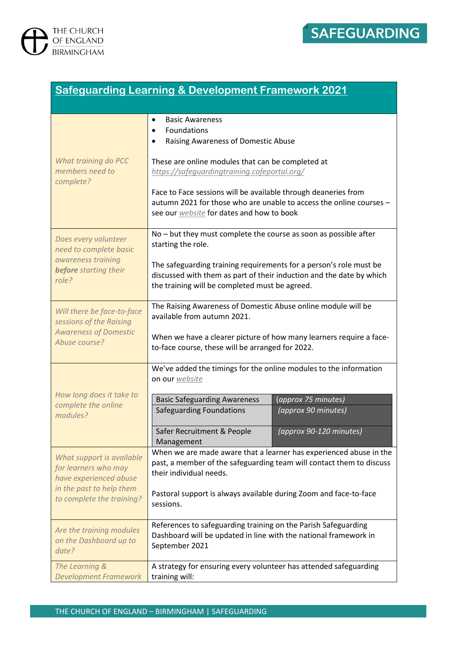



| <b>Safeguarding Learning &amp; Development Framework 2021</b>                                                 |                                                                                                                                                                                              |  |
|---------------------------------------------------------------------------------------------------------------|----------------------------------------------------------------------------------------------------------------------------------------------------------------------------------------------|--|
|                                                                                                               |                                                                                                                                                                                              |  |
| What training do PCC<br>members need to<br>complete?                                                          | <b>Basic Awareness</b><br>٠<br>Foundations<br>٠<br>Raising Awareness of Domestic Abuse                                                                                                       |  |
|                                                                                                               | These are online modules that can be completed at<br>https://safequardingtraining.cofeportal.org/                                                                                            |  |
|                                                                                                               | Face to Face sessions will be available through deaneries from<br>autumn 2021 for those who are unable to access the online courses -<br>see our <b>website</b> for dates and how to book    |  |
| Does every volunteer<br>need to complete basic<br>awareness training<br><b>before</b> starting their<br>role? | $No$ – but they must complete the course as soon as possible after<br>starting the role.                                                                                                     |  |
|                                                                                                               | The safeguarding training requirements for a person's role must be<br>discussed with them as part of their induction and the date by which<br>the training will be completed must be agreed. |  |
| Will there be face-to-face<br>sessions of the Raising<br><b>Awareness of Domestic</b><br>Abuse course?        | The Raising Awareness of Domestic Abuse online module will be<br>available from autumn 2021.<br>When we have a clearer picture of how many learners require a face-                          |  |
|                                                                                                               | to-face course, these will be arranged for 2022.<br>We've added the timings for the online modules to the information                                                                        |  |
| How long does it take to<br>complete the online<br>modules?                                                   | on our website                                                                                                                                                                               |  |
|                                                                                                               | <b>Basic Safeguarding Awareness</b><br>(approx 75 minutes)<br><b>Safeguarding Foundations</b><br>(approx 90 minutes)                                                                         |  |
|                                                                                                               | (approx 90-120 minutes)<br>Safer Recruitment & People<br>Management                                                                                                                          |  |
| What support is available<br>for learners who may<br>have experienced abuse                                   | When we are made aware that a learner has experienced abuse in the<br>past, a member of the safeguarding team will contact them to discuss<br>their individual needs.                        |  |
| in the past to help them<br>to complete the training?                                                         | Pastoral support is always available during Zoom and face-to-face<br>sessions.                                                                                                               |  |
| Are the training modules<br>on the Dashboard up to<br>date?                                                   | References to safeguarding training on the Parish Safeguarding<br>Dashboard will be updated in line with the national framework in<br>September 2021                                         |  |
| The Learning &<br><b>Development Framework</b>                                                                | A strategy for ensuring every volunteer has attended safeguarding<br>training will:                                                                                                          |  |